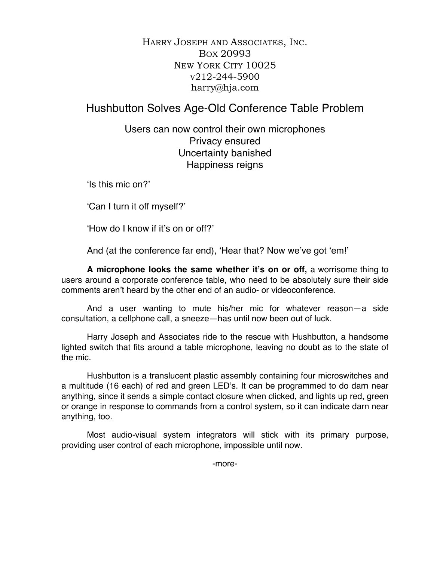HARRY JOSEPH AND ASSOCIATES, INC. BOX 20993 NEW YORK CITY 10025 V212-244-5900 harry@hja.com

Hushbutton Solves Age-Old Conference Table Problem

Users can now control their own microphones Privacy ensured Uncertainty banished Happiness reigns

'Is this mic on?'

'Can I turn it off myself?'

'How do I know if it's on or off?'

And (at the conference far end), 'Hear that? Now we've got 'em!'

**A microphone looks the same whether it's on or off,** a worrisome thing to users around a corporate conference table, who need to be absolutely sure their side comments aren't heard by the other end of an audio- or videoconference.

And a user wanting to mute his/her mic for whatever reason—a side consultation, a cellphone call, a sneeze—has until now been out of luck.

Harry Joseph and Associates ride to the rescue with Hushbutton, a handsome lighted switch that fits around a table microphone, leaving no doubt as to the state of the mic.

Hushbutton is a translucent plastic assembly containing four microswitches and a multitude (16 each) of red and green LED's. It can be programmed to do darn near anything, since it sends a simple contact closure when clicked, and lights up red, green or orange in response to commands from a control system, so it can indicate darn near anything, too.

Most audio-visual system integrators will stick with its primary purpose, providing user control of each microphone, impossible until now.

-more-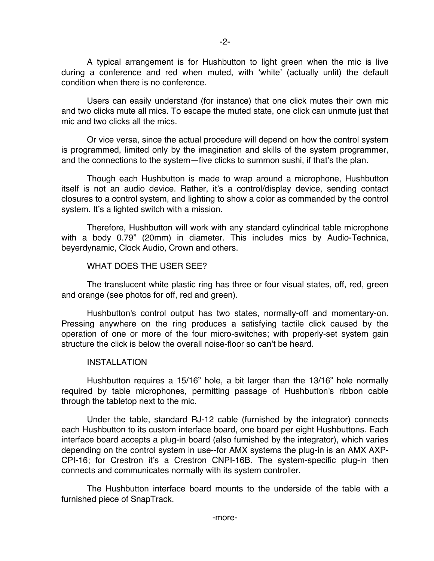A typical arrangement is for Hushbutton to light green when the mic is live during a conference and red when muted, with 'white' (actually unlit) the default condition when there is no conference.

Users can easily understand (for instance) that one click mutes their own mic and two clicks mute all mics. To escape the muted state, one click can unmute just that mic and two clicks all the mics.

Or vice versa, since the actual procedure will depend on how the control system is programmed, limited only by the imagination and skills of the system programmer, and the connections to the system—five clicks to summon sushi, if that's the plan.

Though each Hushbutton is made to wrap around a microphone, Hushbutton itself is not an audio device. Rather, it's a control/display device, sending contact closures to a control system, and lighting to show a color as commanded by the control system. It's a lighted switch with a mission.

Therefore, Hushbutton will work with any standard cylindrical table microphone with a body 0.79" (20mm) in diameter. This includes mics by Audio-Technica, beyerdynamic, Clock Audio, Crown and others.

## WHAT DOES THE USER SEE?

The translucent white plastic ring has three or four visual states, off, red, green and orange (see photos for off, red and green).

Hushbutton's control output has two states, normally-off and momentary-on. Pressing anywhere on the ring produces a satisfying tactile click caused by the operation of one or more of the four micro-switches; with properly-set system gain structure the click is below the overall noise-floor so can't be heard.

## INSTALLATION

Hushbutton requires a 15/16" hole, a bit larger than the 13/16" hole normally required by table microphones, permitting passage of Hushbutton's ribbon cable through the tabletop next to the mic.

Under the table, standard RJ-12 cable (furnished by the integrator) connects each Hushbutton to its custom interface board, one board per eight Hushbuttons. Each interface board accepts a plug-in board (also furnished by the integrator), which varies depending on the control system in use--for AMX systems the plug-in is an AMX AXP-CPI-16; for Crestron it's a Crestron CNPI-16B. The system-specific plug-in then connects and communicates normally with its system controller.

The Hushbutton interface board mounts to the underside of the table with a furnished piece of SnapTrack.